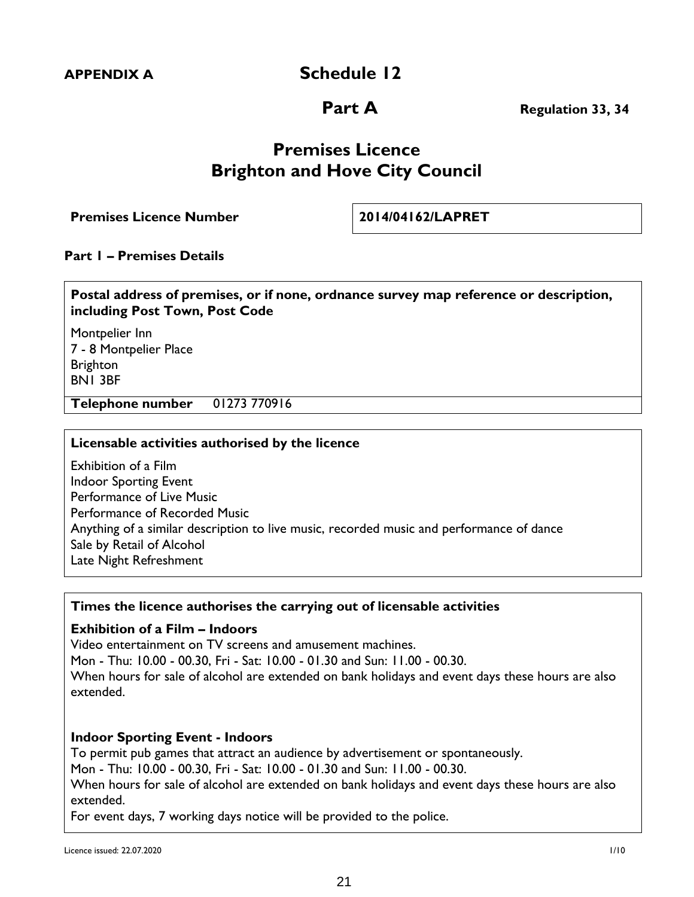**APPENDIX A**<br>**Schedule 12** 

**Part A Regulation 33, 34** 

# **Premises Licence Brighton and Hove City Council**

**Premises Licence Number 2014/04162/LAPRET**

**Part 1 – Premises Details**

**Postal address of premises, or if none, ordnance survey map reference or description, including Post Town, Post Code**

Montpelier Inn 7 - 8 Montpelier Place Brighton BN1 3BF

**Telephone number** 01273 770916

## **Licensable activities authorised by the licence**

Exhibition of a Film Indoor Sporting Event Performance of Live Music Performance of Recorded Music Anything of a similar description to live music, recorded music and performance of dance Sale by Retail of Alcohol Late Night Refreshment

#### **Times the licence authorises the carrying out of licensable activities**

#### **Exhibition of a Film – Indoors**

Video entertainment on TV screens and amusement machines. Mon - Thu: 10.00 - 00.30, Fri - Sat: 10.00 - 01.30 and Sun: 11.00 - 00.30. When hours for sale of alcohol are extended on bank holidays and event days these hours are also extended.

# **Indoor Sporting Event - Indoors**

To permit pub games that attract an audience by advertisement or spontaneously.

Mon - Thu: 10.00 - 00.30, Fri - Sat: 10.00 - 01.30 and Sun: 11.00 - 00.30.

When hours for sale of alcohol are extended on bank holidays and event days these hours are also extended.

For event days, 7 working days notice will be provided to the police.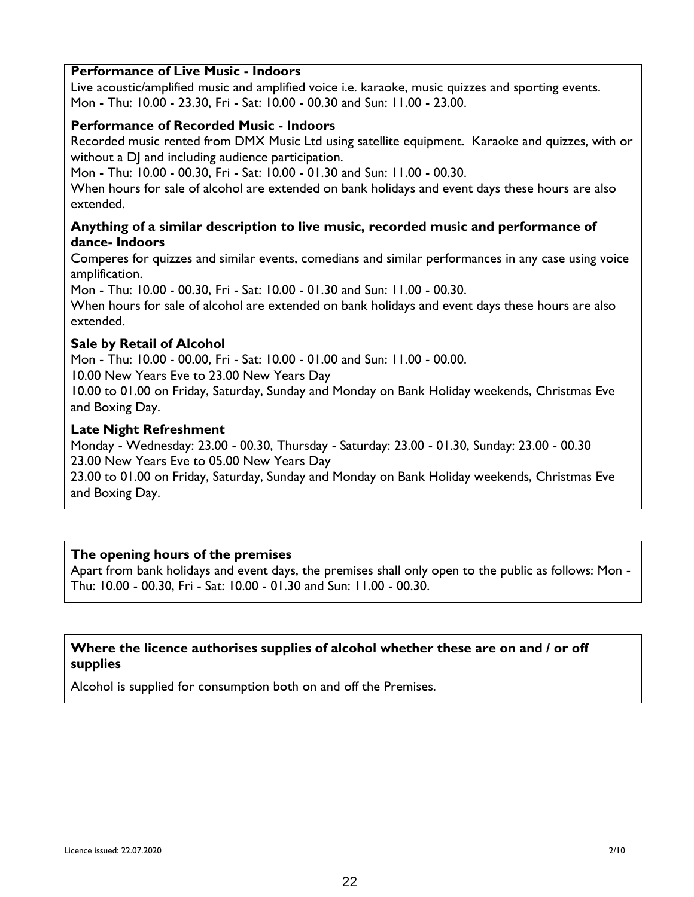### **Performance of Live Music - Indoors**

Live acoustic/amplified music and amplified voice i.e. karaoke, music quizzes and sporting events. Mon - Thu: 10.00 - 23.30, Fri - Sat: 10.00 - 00.30 and Sun: 11.00 - 23.00.

#### **Performance of Recorded Music - Indoors**

Recorded music rented from DMX Music Ltd using satellite equipment. Karaoke and quizzes, with or without a DJ and including audience participation.

Mon - Thu: 10.00 - 00.30, Fri - Sat: 10.00 - 01.30 and Sun: 11.00 - 00.30.

When hours for sale of alcohol are extended on bank holidays and event days these hours are also extended.

#### **Anything of a similar description to live music, recorded music and performance of dance- Indoors**

Comperes for quizzes and similar events, comedians and similar performances in any case using voice amplification.

Mon - Thu: 10.00 - 00.30, Fri - Sat: 10.00 - 01.30 and Sun: 11.00 - 00.30.

When hours for sale of alcohol are extended on bank holidays and event days these hours are also extended.

## **Sale by Retail of Alcohol**

Mon - Thu: 10.00 - 00.00, Fri - Sat: 10.00 - 01.00 and Sun: 11.00 - 00.00.

10.00 New Years Eve to 23.00 New Years Day

10.00 to 01.00 on Friday, Saturday, Sunday and Monday on Bank Holiday weekends, Christmas Eve and Boxing Day.

#### **Late Night Refreshment**

Monday - Wednesday: 23.00 - 00.30, Thursday - Saturday: 23.00 - 01.30, Sunday: 23.00 - 00.30 23.00 New Years Eve to 05.00 New Years Day

23.00 to 01.00 on Friday, Saturday, Sunday and Monday on Bank Holiday weekends, Christmas Eve and Boxing Day.

# **The opening hours of the premises**

Apart from bank holidays and event days, the premises shall only open to the public as follows: Mon - Thu: 10.00 - 00.30, Fri - Sat: 10.00 - 01.30 and Sun: 11.00 - 00.30.

# **Where the licence authorises supplies of alcohol whether these are on and / or off supplies**

Alcohol is supplied for consumption both on and off the Premises.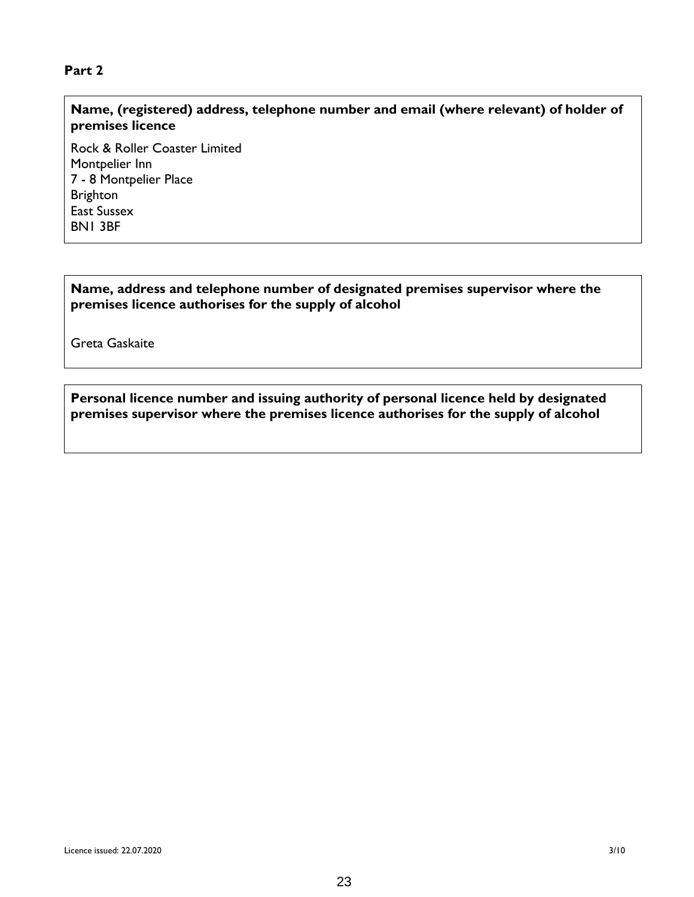# **Part 2**

**Name, (registered) address, telephone number and email (where relevant) of holder of premises licence**

Rock & Roller Coaster Limited Montpelier Inn 7 - 8 Montpelier Place Brighton East Sussex BN1 3BF

# **Name, address and telephone number of designated premises supervisor where the premises licence authorises for the supply of alcohol**

Greta Gaskaite

**Personal licence number and issuing authority of personal licence held by designated premises supervisor where the premises licence authorises for the supply of alcohol**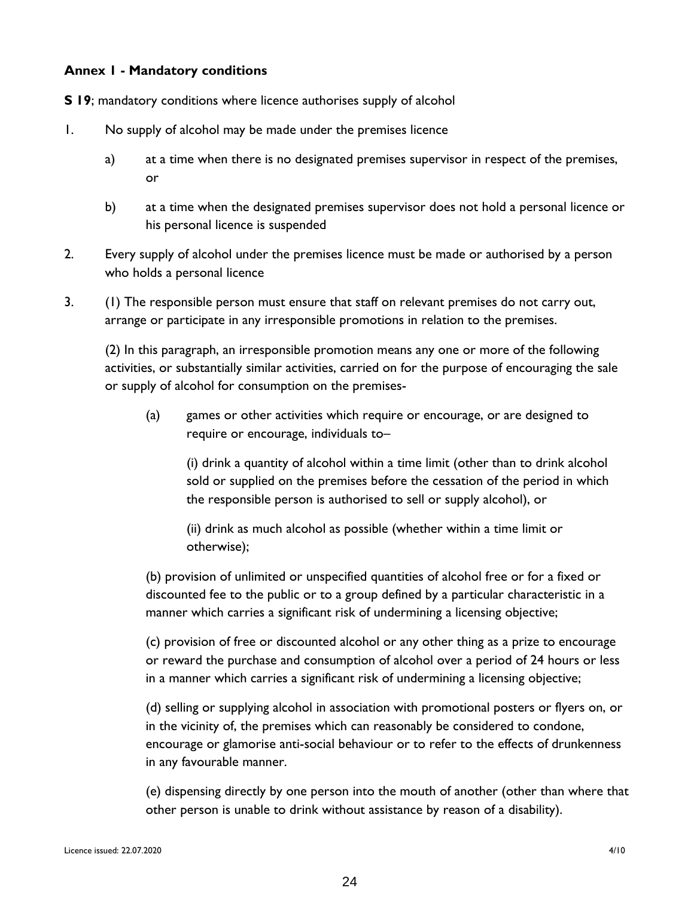### **Annex 1 - Mandatory conditions**

**S 19**; mandatory conditions where licence authorises supply of alcohol

- 1. No supply of alcohol may be made under the premises licence
	- a) at a time when there is no designated premises supervisor in respect of the premises, or
	- b) at a time when the designated premises supervisor does not hold a personal licence or his personal licence is suspended
- 2. Every supply of alcohol under the premises licence must be made or authorised by a person who holds a personal licence
- 3. (1) The responsible person must ensure that staff on relevant premises do not carry out, arrange or participate in any irresponsible promotions in relation to the premises.

(2) In this paragraph, an irresponsible promotion means any one or more of the following activities, or substantially similar activities, carried on for the purpose of encouraging the sale or supply of alcohol for consumption on the premises-

(a) games or other activities which require or encourage, or are designed to require or encourage, individuals to–

(i) drink a quantity of alcohol within a time limit (other than to drink alcohol sold or supplied on the premises before the cessation of the period in which the responsible person is authorised to sell or supply alcohol), or

(ii) drink as much alcohol as possible (whether within a time limit or otherwise);

(b) provision of unlimited or unspecified quantities of alcohol free or for a fixed or discounted fee to the public or to a group defined by a particular characteristic in a manner which carries a significant risk of undermining a licensing objective;

(c) provision of free or discounted alcohol or any other thing as a prize to encourage or reward the purchase and consumption of alcohol over a period of 24 hours or less in a manner which carries a significant risk of undermining a licensing objective;

(d) selling or supplying alcohol in association with promotional posters or flyers on, or in the vicinity of, the premises which can reasonably be considered to condone, encourage or glamorise anti-social behaviour or to refer to the effects of drunkenness in any favourable manner.

(e) dispensing directly by one person into the mouth of another (other than where that other person is unable to drink without assistance by reason of a disability).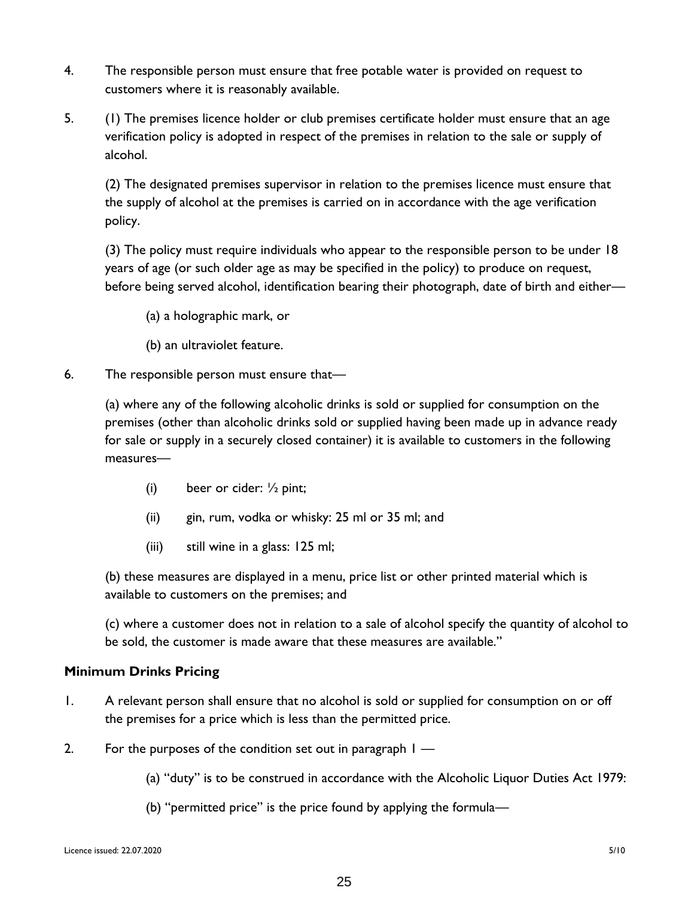- 4. The responsible person must ensure that free potable water is provided on request to customers where it is reasonably available.
- 5. (1) The premises licence holder or club premises certificate holder must ensure that an age verification policy is adopted in respect of the premises in relation to the sale or supply of alcohol.

(2) The designated premises supervisor in relation to the premises licence must ensure that the supply of alcohol at the premises is carried on in accordance with the age verification policy.

(3) The policy must require individuals who appear to the responsible person to be under 18 years of age (or such older age as may be specified in the policy) to produce on request, before being served alcohol, identification bearing their photograph, date of birth and either—

(a) a holographic mark, or

- (b) an ultraviolet feature.
- 6. The responsible person must ensure that—

(a) where any of the following alcoholic drinks is sold or supplied for consumption on the premises (other than alcoholic drinks sold or supplied having been made up in advance ready for sale or supply in a securely closed container) it is available to customers in the following measures—

- (i) beer or cider:  $\frac{1}{2}$  pint;
- (ii) gin, rum, vodka or whisky: 25 ml or 35 ml; and
- (iii) still wine in a glass: 125 ml;

(b) these measures are displayed in a menu, price list or other printed material which is available to customers on the premises; and

(c) where a customer does not in relation to a sale of alcohol specify the quantity of alcohol to be sold, the customer is made aware that these measures are available."

# **Minimum Drinks Pricing**

- 1. A relevant person shall ensure that no alcohol is sold or supplied for consumption on or off the premises for a price which is less than the permitted price.
- 2. For the purposes of the condition set out in paragraph  $1 -$ 
	- (a) "duty" is to be construed in accordance with the Alcoholic Liquor Duties Act 1979:
	- (b) "permitted price" is the price found by applying the formula—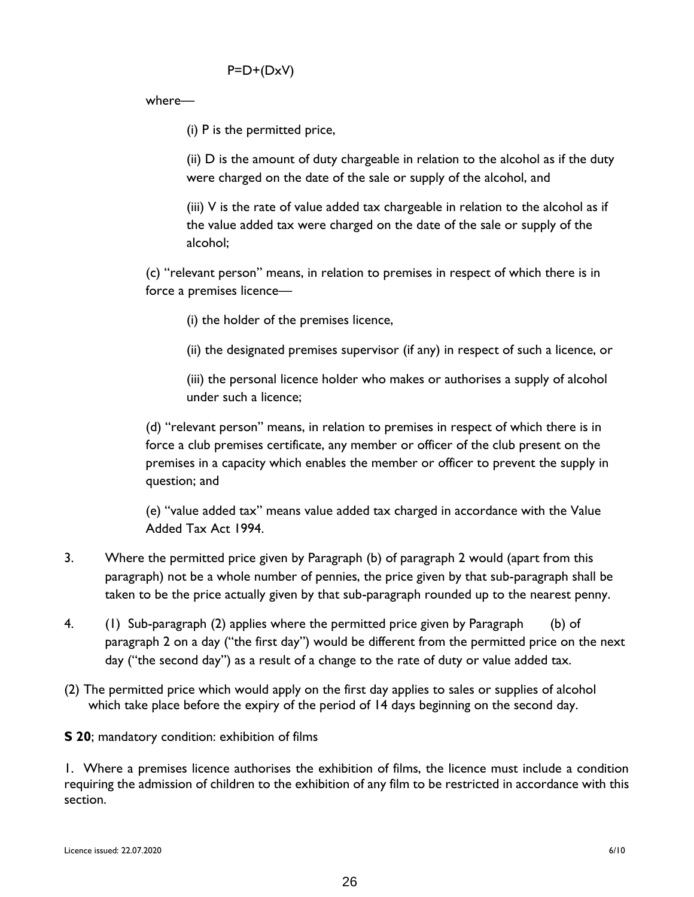# $P=D+(DxV)$

where—

(i) P is the permitted price,

(ii) D is the amount of duty chargeable in relation to the alcohol as if the duty were charged on the date of the sale or supply of the alcohol, and

(iii) V is the rate of value added tax chargeable in relation to the alcohol as if the value added tax were charged on the date of the sale or supply of the alcohol;

(c) "relevant person" means, in relation to premises in respect of which there is in force a premises licence—

(i) the holder of the premises licence,

(ii) the designated premises supervisor (if any) in respect of such a licence, or

(iii) the personal licence holder who makes or authorises a supply of alcohol under such a licence;

(d) "relevant person" means, in relation to premises in respect of which there is in force a club premises certificate, any member or officer of the club present on the premises in a capacity which enables the member or officer to prevent the supply in question; and

(e) "value added tax" means value added tax charged in accordance with the Value Added Tax Act 1994.

- 3. Where the permitted price given by Paragraph (b) of paragraph 2 would (apart from this paragraph) not be a whole number of pennies, the price given by that sub-paragraph shall be taken to be the price actually given by that sub-paragraph rounded up to the nearest penny.
- 4. (1) Sub-paragraph (2) applies where the permitted price given by Paragraph (b) of paragraph 2 on a day ("the first day") would be different from the permitted price on the next day ("the second day") as a result of a change to the rate of duty or value added tax.
- (2) The permitted price which would apply on the first day applies to sales or supplies of alcohol which take place before the expiry of the period of 14 days beginning on the second day.

**S 20**; mandatory condition: exhibition of films

1. Where a premises licence authorises the exhibition of films, the licence must include a condition requiring the admission of children to the exhibition of any film to be restricted in accordance with this section.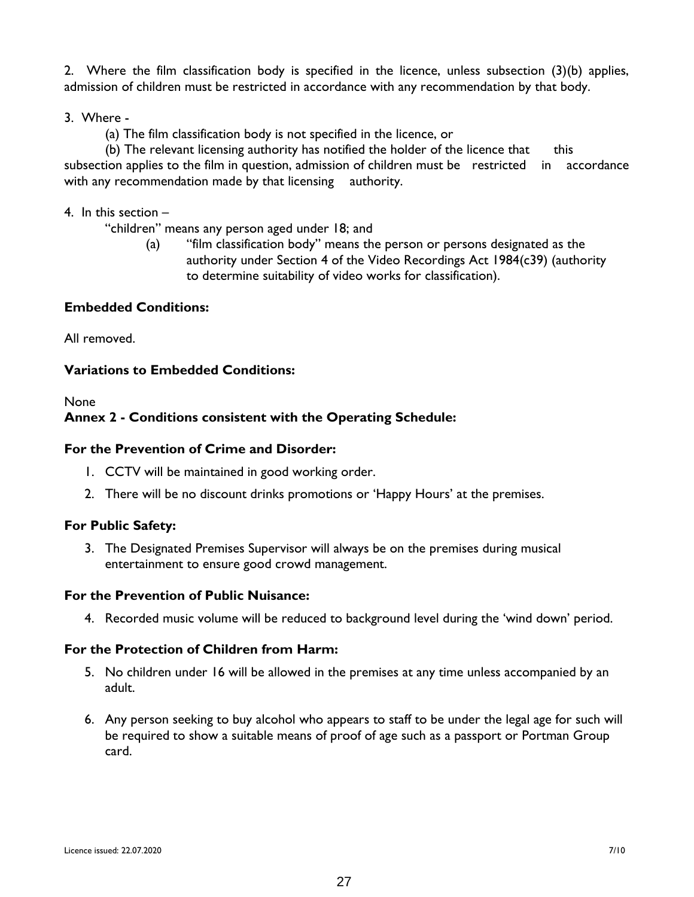2. Where the film classification body is specified in the licence, unless subsection (3)(b) applies, admission of children must be restricted in accordance with any recommendation by that body.

# 3. Where -

(a) The film classification body is not specified in the licence, or

(b) The relevant licensing authority has notified the holder of the licence that this subsection applies to the film in question, admission of children must be restricted in accordance with any recommendation made by that licensing authority.

## 4. In this section –

"children" means any person aged under 18; and

(a) "film classification body" means the person or persons designated as the authority under Section 4 of the Video Recordings Act 1984(c39) (authority to determine suitability of video works for classification).

# **Embedded Conditions:**

All removed.

# **Variations to Embedded Conditions:**

None

# **Annex 2 - Conditions consistent with the Operating Schedule:**

# **For the Prevention of Crime and Disorder:**

- 1. CCTV will be maintained in good working order.
- 2. There will be no discount drinks promotions or 'Happy Hours' at the premises.

# **For Public Safety:**

3. The Designated Premises Supervisor will always be on the premises during musical entertainment to ensure good crowd management.

#### **For the Prevention of Public Nuisance:**

4. Recorded music volume will be reduced to background level during the 'wind down' period.

# **For the Protection of Children from Harm:**

- 5. No children under 16 will be allowed in the premises at any time unless accompanied by an adult.
- 6. Any person seeking to buy alcohol who appears to staff to be under the legal age for such will be required to show a suitable means of proof of age such as a passport or Portman Group card.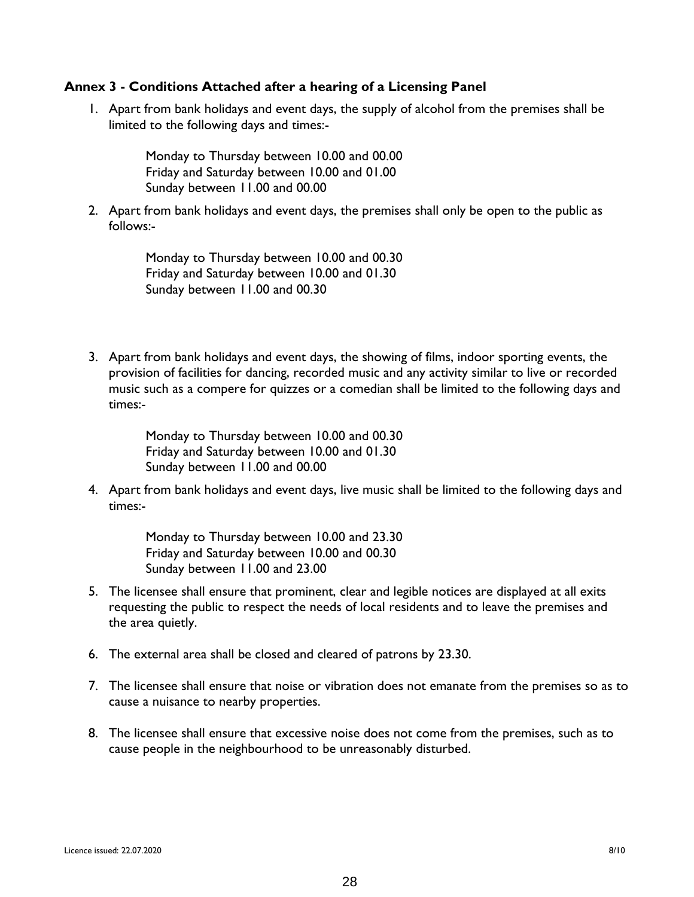#### **Annex 3 - Conditions Attached after a hearing of a Licensing Panel**

1. Apart from bank holidays and event days, the supply of alcohol from the premises shall be limited to the following days and times:-

> Monday to Thursday between 10.00 and 00.00 Friday and Saturday between 10.00 and 01.00 Sunday between 11.00 and 00.00

2. Apart from bank holidays and event days, the premises shall only be open to the public as follows:-

> Monday to Thursday between 10.00 and 00.30 Friday and Saturday between 10.00 and 01.30 Sunday between 11.00 and 00.30

3. Apart from bank holidays and event days, the showing of films, indoor sporting events, the provision of facilities for dancing, recorded music and any activity similar to live or recorded music such as a compere for quizzes or a comedian shall be limited to the following days and times:-

> Monday to Thursday between 10.00 and 00.30 Friday and Saturday between 10.00 and 01.30 Sunday between 11.00 and 00.00

4. Apart from bank holidays and event days, live music shall be limited to the following days and times:-

> Monday to Thursday between 10.00 and 23.30 Friday and Saturday between 10.00 and 00.30 Sunday between 11.00 and 23.00

- 5. The licensee shall ensure that prominent, clear and legible notices are displayed at all exits requesting the public to respect the needs of local residents and to leave the premises and the area quietly.
- 6. The external area shall be closed and cleared of patrons by 23.30.
- 7. The licensee shall ensure that noise or vibration does not emanate from the premises so as to cause a nuisance to nearby properties.
- 8. The licensee shall ensure that excessive noise does not come from the premises, such as to cause people in the neighbourhood to be unreasonably disturbed.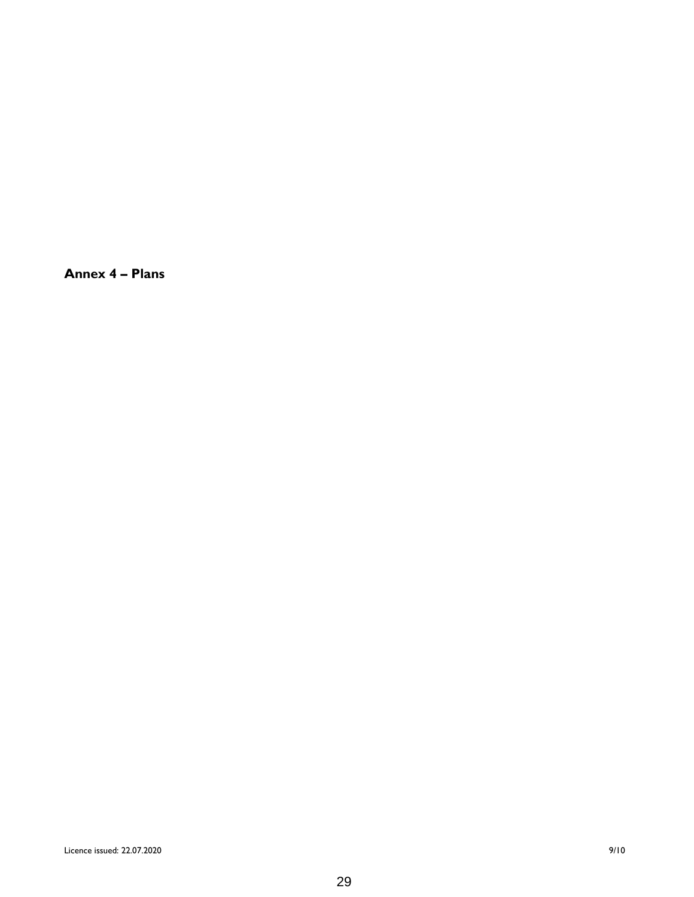**Annex 4 – Plans**